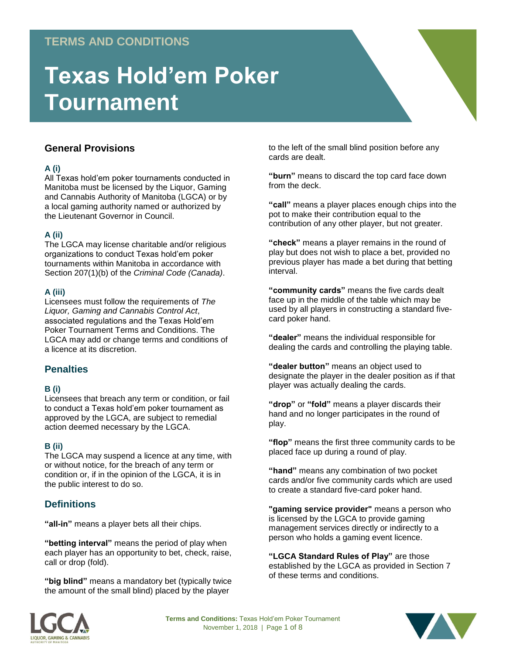# **TERMS AND CONDITIONS**

# **Texas Hold'em Poker Tournament**

# **General Provisions**

#### **A (i)**

All Texas hold'em poker tournaments conducted in Manitoba must be licensed by the Liquor, Gaming and Cannabis Authority of Manitoba (LGCA) or by a local gaming authority named or authorized by the Lieutenant Governor in Council.

### **A (ii)**

The LGCA may license charitable and/or religious organizations to conduct Texas hold'em poker tournaments within Manitoba in accordance with Section 207(1)(b) of the *Criminal Code (Canada)*.

#### **A (iii)**

Licensees must follow the requirements of *The Liquor, Gaming and Cannabis Control Act*, associated regulations and the Texas Hold'em Poker Tournament Terms and Conditions. The LGCA may add or change terms and conditions of a licence at its discretion.

# **Penalties**

#### **B (i)**

Licensees that breach any term or condition, or fail to conduct a Texas hold'em poker tournament as approved by the LGCA, are subject to remedial action deemed necessary by the LGCA.

#### **B (ii)**

The LGCA may suspend a licence at any time, with or without notice, for the breach of any term or condition or, if in the opinion of the LGCA, it is in the public interest to do so.

# **Definitions**

**"all-in"** means a player bets all their chips.

**"betting interval"** means the period of play when each player has an opportunity to bet, check, raise, call or drop (fold).

**"big blind"** means a mandatory bet (typically twice the amount of the small blind) placed by the player

to the left of the small blind position before any cards are dealt.

**"burn"** means to discard the top card face down from the deck.

**"call"** means a player places enough chips into the pot to make their contribution equal to the contribution of any other player, but not greater.

**"check"** means a player remains in the round of play but does not wish to place a bet, provided no previous player has made a bet during that betting interval.

**"community cards"** means the five cards dealt face up in the middle of the table which may be used by all players in constructing a standard fivecard poker hand.

**"dealer"** means the individual responsible for dealing the cards and controlling the playing table.

**"dealer button"** means an object used to designate the player in the dealer position as if that player was actually dealing the cards.

**"drop"** or **"fold"** means a player discards their hand and no longer participates in the round of play.

**"flop"** means the first three community cards to be placed face up during a round of play.

**"hand"** means any combination of two pocket cards and/or five community cards which are used to create a standard five-card poker hand.

**"gaming service provider"** means a person who is licensed by the LGCA to provide gaming management services directly or indirectly to a person who holds a gaming event licence.

**"LGCA Standard Rules of Play"** are those established by the LGCA as provided in Section 7 of these terms and conditions.



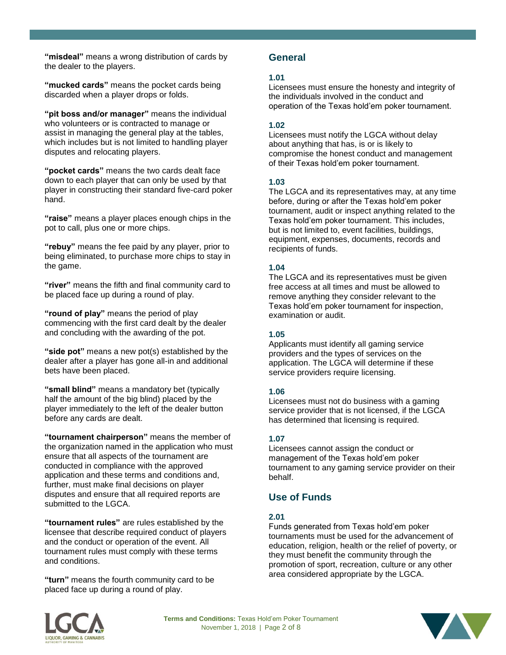**"misdeal"** means a wrong distribution of cards by the dealer to the players.

**"mucked cards"** means the pocket cards being discarded when a player drops or folds.

**"pit boss and/or manager"** means the individual who volunteers or is contracted to manage or assist in managing the general play at the tables, which includes but is not limited to handling player disputes and relocating players.

**"pocket cards"** means the two cards dealt face down to each player that can only be used by that player in constructing their standard five-card poker hand.

**"raise"** means a player places enough chips in the pot to call, plus one or more chips.

**"rebuy"** means the fee paid by any player, prior to being eliminated, to purchase more chips to stay in the game.

**"river"** means the fifth and final community card to be placed face up during a round of play.

**"round of play"** means the period of play commencing with the first card dealt by the dealer and concluding with the awarding of the pot.

**"side pot"** means a new pot(s) established by the dealer after a player has gone all-in and additional bets have been placed.

**"small blind"** means a mandatory bet (typically half the amount of the big blind) placed by the player immediately to the left of the dealer button before any cards are dealt.

**"tournament chairperson"** means the member of the organization named in the application who must ensure that all aspects of the tournament are conducted in compliance with the approved application and these terms and conditions and, further, must make final decisions on player disputes and ensure that all required reports are submitted to the LGCA.

**"tournament rules"** are rules established by the licensee that describe required conduct of players and the conduct or operation of the event. All tournament rules must comply with these terms and conditions.

**"turn"** means the fourth community card to be placed face up during a round of play.

# **General**

#### **1.01**

Licensees must ensure the honesty and integrity of the individuals involved in the conduct and operation of the Texas hold'em poker tournament.

## **1.02**

Licensees must notify the LGCA without delay about anything that has, is or is likely to compromise the honest conduct and management of their Texas hold'em poker tournament.

### **1.03**

The LGCA and its representatives may, at any time before, during or after the Texas hold'em poker tournament, audit or inspect anything related to the Texas hold'em poker tournament. This includes, but is not limited to, event facilities, buildings, equipment, expenses, documents, records and recipients of funds.

### **1.04**

The LGCA and its representatives must be given free access at all times and must be allowed to remove anything they consider relevant to the Texas hold'em poker tournament for inspection, examination or audit.

# **1.05**

Applicants must identify all gaming service providers and the types of services on the application. The LGCA will determine if these service providers require licensing.

#### **1.06**

Licensees must not do business with a gaming service provider that is not licensed, if the LGCA has determined that licensing is required.

# **1.07**

Licensees cannot assign the conduct or management of the Texas hold'em poker tournament to any gaming service provider on their behalf.

# **Use of Funds**

# **2.01**

Funds generated from Texas hold'em poker tournaments must be used for the advancement of education, religion, health or the relief of poverty, or they must benefit the community through the promotion of sport, recreation, culture or any other area considered appropriate by the LGCA.



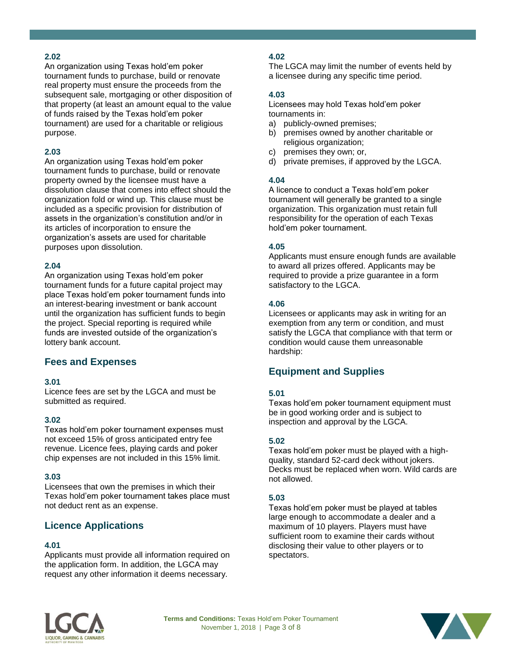An organization using Texas hold'em poker tournament funds to purchase, build or renovate real property must ensure the proceeds from the subsequent sale, mortgaging or other disposition of that property (at least an amount equal to the value of funds raised by the Texas hold'em poker tournament) are used for a charitable or religious purpose.

#### **2.03**

An organization using Texas hold'em poker tournament funds to purchase, build or renovate property owned by the licensee must have a dissolution clause that comes into effect should the organization fold or wind up. This clause must be included as a specific provision for distribution of assets in the organization's constitution and/or in its articles of incorporation to ensure the organization's assets are used for charitable purposes upon dissolution.

#### **2.04**

An organization using Texas hold'em poker tournament funds for a future capital project may place Texas hold'em poker tournament funds into an interest-bearing investment or bank account until the organization has sufficient funds to begin the project. Special reporting is required while funds are invested outside of the organization's lottery bank account.

# **Fees and Expenses**

#### **3.01**

Licence fees are set by the LGCA and must be submitted as required.

#### **3.02**

Texas hold'em poker tournament expenses must not exceed 15% of gross anticipated entry fee revenue. Licence fees, playing cards and poker chip expenses are not included in this 15% limit.

#### **3.03**

Licensees that own the premises in which their Texas hold'em poker tournament takes place must not deduct rent as an expense.

# **Licence Applications**

#### **4.01**

Applicants must provide all information required on the application form. In addition, the LGCA may request any other information it deems necessary.

# **4.02**

The LGCA may limit the number of events held by a licensee during any specific time period.

#### **4.03**

Licensees may hold Texas hold'em poker tournaments in:

- a) publicly-owned premises;
- b) premises owned by another charitable or religious organization;
- c) premises they own; or,
- d) private premises, if approved by the LGCA.

#### **4.04**

A licence to conduct a Texas hold'em poker tournament will generally be granted to a single organization. This organization must retain full responsibility for the operation of each Texas hold'em poker tournament.

#### **4.05**

Applicants must ensure enough funds are available to award all prizes offered. Applicants may be required to provide a prize guarantee in a form satisfactory to the LGCA.

#### **4.06**

Licensees or applicants may ask in writing for an exemption from any term or condition, and must satisfy the LGCA that compliance with that term or condition would cause them unreasonable hardship:

# **Equipment and Supplies**

#### **5.01**

Texas hold'em poker tournament equipment must be in good working order and is subject to inspection and approval by the LGCA.

#### **5.02**

Texas hold'em poker must be played with a highquality, standard 52-card deck without jokers. Decks must be replaced when worn. Wild cards are not allowed.

#### **5.03**

Texas hold'em poker must be played at tables large enough to accommodate a dealer and a maximum of 10 players. Players must have sufficient room to examine their cards without disclosing their value to other players or to spectators.



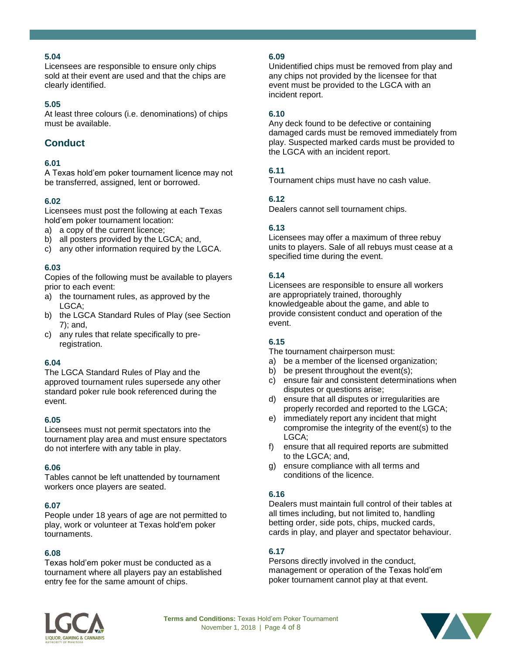Licensees are responsible to ensure only chips sold at their event are used and that the chips are clearly identified.

#### **5.05**

At least three colours (i.e. denominations) of chips must be available.

# **Conduct**

#### **6.01**

A Texas hold'em poker tournament licence may not be transferred, assigned, lent or borrowed.

#### **6.02**

Licensees must post the following at each Texas hold'em poker tournament location:

- a) a copy of the current licence;
- b) all posters provided by the LGCA; and,
- c) any other information required by the LGCA.

#### **6.03**

Copies of the following must be available to players prior to each event:

- a) the tournament rules, as approved by the LGCA;
- b) the LGCA Standard Rules of Play (see Section 7); and,
- c) any rules that relate specifically to preregistration.

#### **6.04**

The LGCA Standard Rules of Play and the approved tournament rules supersede any other standard poker rule book referenced during the event.

#### **6.05**

Licensees must not permit spectators into the tournament play area and must ensure spectators do not interfere with any table in play.

#### **6.06**

Tables cannot be left unattended by tournament workers once players are seated.

#### **6.07**

People under 18 years of age are not permitted to play, work or volunteer at Texas hold'em poker tournaments.

#### **6.08**

Texas hold'em poker must be conducted as a tournament where all players pay an established entry fee for the same amount of chips.

#### **6.09**

Unidentified chips must be removed from play and any chips not provided by the licensee for that event must be provided to the LGCA with an incident report.

#### **6.10**

Any deck found to be defective or containing damaged cards must be removed immediately from play. Suspected marked cards must be provided to the LGCA with an incident report.

#### **6.11**

Tournament chips must have no cash value.

#### **6.12**

Dealers cannot sell tournament chips.

#### **6.13**

Licensees may offer a maximum of three rebuy units to players. Sale of all rebuys must cease at a specified time during the event.

#### **6.14**

Licensees are responsible to ensure all workers are appropriately trained, thoroughly knowledgeable about the game, and able to provide consistent conduct and operation of the event.

#### **6.15**

The tournament chairperson must:

- a) be a member of the licensed organization;
- b) be present throughout the event(s);
- c) ensure fair and consistent determinations when disputes or questions arise;
- d) ensure that all disputes or irregularities are properly recorded and reported to the LGCA;
- e) immediately report any incident that might compromise the integrity of the event(s) to the LGCA;
- f) ensure that all required reports are submitted to the LGCA; and,
- g) ensure compliance with all terms and conditions of the licence.

#### **6.16**

Dealers must maintain full control of their tables at all times including, but not limited to, handling betting order, side pots, chips, mucked cards, cards in play, and player and spectator behaviour.

#### **6.17**

Persons directly involved in the conduct, management or operation of the Texas hold'em poker tournament cannot play at that event.



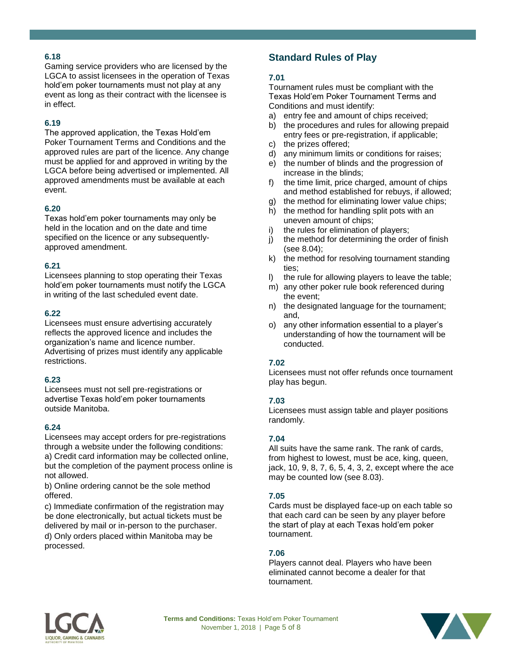Gaming service providers who are licensed by the LGCA to assist licensees in the operation of Texas hold'em poker tournaments must not play at any event as long as their contract with the licensee is in effect.

### **6.19**

The approved application, the Texas Hold'em Poker Tournament Terms and Conditions and the approved rules are part of the licence. Any change must be applied for and approved in writing by the LGCA before being advertised or implemented. All approved amendments must be available at each event.

#### **6.20**

Texas hold'em poker tournaments may only be held in the location and on the date and time specified on the licence or any subsequentlyapproved amendment.

#### **6.21**

Licensees planning to stop operating their Texas hold'em poker tournaments must notify the LGCA in writing of the last scheduled event date.

#### **6.22**

Licensees must ensure advertising accurately reflects the approved licence and includes the organization's name and licence number. Advertising of prizes must identify any applicable restrictions.

#### **6.23**

Licensees must not sell pre-registrations or advertise Texas hold'em poker tournaments outside Manitoba.

#### **6.24**

Licensees may accept orders for pre-registrations through a website under the following conditions: a) Credit card information may be collected online, but the completion of the payment process online is not allowed.

b) Online ordering cannot be the sole method offered.

c) Immediate confirmation of the registration may be done electronically, but actual tickets must be delivered by mail or in-person to the purchaser.

d) Only orders placed within Manitoba may be processed.

# **Standard Rules of Play**

#### **7.01**

Tournament rules must be compliant with the Texas Hold'em Poker Tournament Terms and Conditions and must identify:

- a) entry fee and amount of chips received;
- b) the procedures and rules for allowing prepaid entry fees or pre-registration, if applicable;
- c) the prizes offered;
- d) any minimum limits or conditions for raises;
- e) the number of blinds and the progression of increase in the blinds;
- f) the time limit, price charged, amount of chips and method established for rebuys, if allowed;
- g) the method for eliminating lower value chips;
- h) the method for handling split pots with an uneven amount of chips;
- i) the rules for elimination of players;
- j) the method for determining the order of finish (see 8.04);
- k) the method for resolving tournament standing ties;
- l) the rule for allowing players to leave the table;
- m) any other poker rule book referenced during the event;
- n) the designated language for the tournament; and,
- o) any other information essential to a player's understanding of how the tournament will be conducted.

#### **7.02**

Licensees must not offer refunds once tournament play has begun.

#### **7.03**

Licensees must assign table and player positions randomly.

#### **7.04**

All suits have the same rank. The rank of cards, from highest to lowest, must be ace, king, queen, jack, 10, 9, 8, 7, 6, 5, 4, 3, 2, except where the ace may be counted low (see 8.03).

#### **7.05**

Cards must be displayed face-up on each table so that each card can be seen by any player before the start of play at each Texas hold'em poker tournament.

#### **7.06**

Players cannot deal. Players who have been eliminated cannot become a dealer for that tournament.



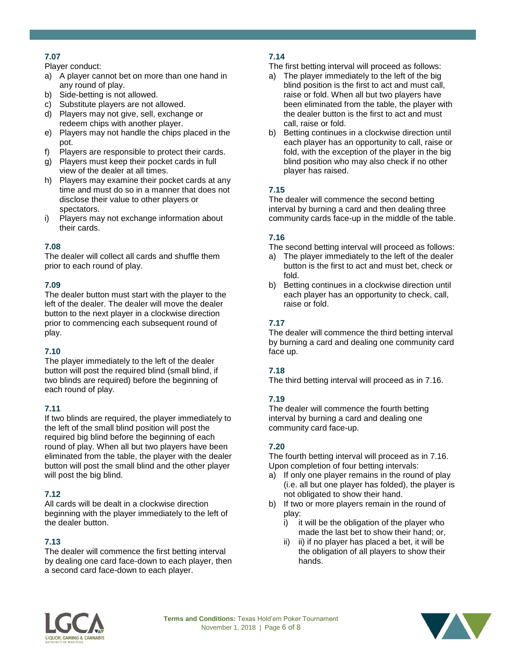Player conduct:

- a) A player cannot bet on more than one hand in any round of play.
- b) Side-betting is not allowed.
- c) Substitute players are not allowed.
- d) Players may not give, sell, exchange or redeem chips with another player.
- e) Players may not handle the chips placed in the pot.
- f) Players are responsible to protect their cards.
- g) Players must keep their pocket cards in full view of the dealer at all times.
- h) Players may examine their pocket cards at any time and must do so in a manner that does not disclose their value to other players or spectators.
- i) Players may not exchange information about their cards.

# **7.08**

The dealer will collect all cards and shuffle them prior to each round of play.

# **7.09**

The dealer button must start with the player to the left of the dealer. The dealer will move the dealer button to the next player in a clockwise direction prior to commencing each subsequent round of play.

# **7.10**

The player immediately to the left of the dealer button will post the required blind (small blind, if two blinds are required) before the beginning of each round of play.

# **7.11**

If two blinds are required, the player immediately to the left of the small blind position will post the required big blind before the beginning of each round of play. When all but two players have been eliminated from the table, the player with the dealer button will post the small blind and the other player will post the big blind.

# **7.12**

All cards will be dealt in a clockwise direction beginning with the player immediately to the left of the dealer button.

# **7.13**

The dealer will commence the first betting interval by dealing one card face-down to each player, then a second card face-down to each player.

# **7.14**

The first betting interval will proceed as follows:

- a) The player immediately to the left of the big blind position is the first to act and must call, raise or fold. When all but two players have been eliminated from the table, the player with the dealer button is the first to act and must call, raise or fold.
- b) Betting continues in a clockwise direction until each player has an opportunity to call, raise or fold, with the exception of the player in the big blind position who may also check if no other player has raised.

# **7.15**

The dealer will commence the second betting interval by burning a card and then dealing three community cards face-up in the middle of the table.

# **7.16**

The second betting interval will proceed as follows:

- a) The player immediately to the left of the dealer button is the first to act and must bet, check or fold.
- b) Betting continues in a clockwise direction until each player has an opportunity to check, call, raise or fold.

# **7.17**

The dealer will commence the third betting interval by burning a card and dealing one community card face up.

# **7.18**

The third betting interval will proceed as in 7.16.

# **7.19**

The dealer will commence the fourth betting interval by burning a card and dealing one community card face-up.

# **7.20**

The fourth betting interval will proceed as in 7.16. Upon completion of four betting intervals:

- a) If only one player remains in the round of play (i.e. all but one player has folded), the player is not obligated to show their hand.
- b) If two or more players remain in the round of play:
	- i) it will be the obligation of the player who made the last bet to show their hand; or,
	- ii) ii) if no player has placed a bet, it will be the obligation of all players to show their hands.



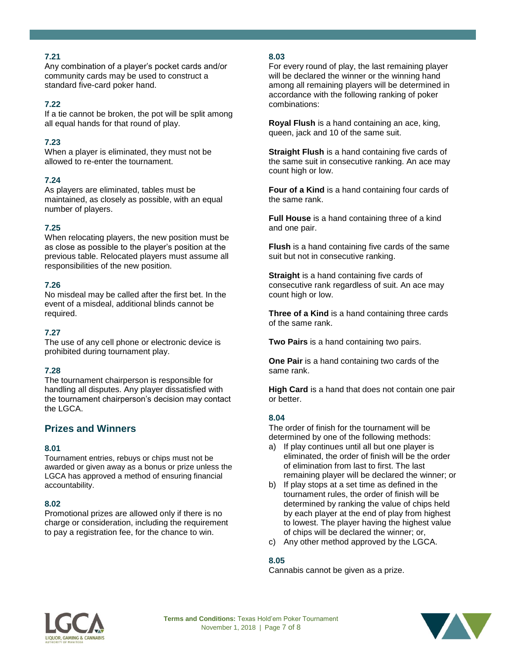Any combination of a player's pocket cards and/or community cards may be used to construct a standard five-card poker hand.

#### **7.22**

If a tie cannot be broken, the pot will be split among all equal hands for that round of play.

#### **7.23**

When a player is eliminated, they must not be allowed to re-enter the tournament.

#### **7.24**

As players are eliminated, tables must be maintained, as closely as possible, with an equal number of players.

#### **7.25**

When relocating players, the new position must be as close as possible to the player's position at the previous table. Relocated players must assume all responsibilities of the new position.

#### **7.26**

No misdeal may be called after the first bet. In the event of a misdeal, additional blinds cannot be required.

#### **7.27**

The use of any cell phone or electronic device is prohibited during tournament play.

#### **7.28**

The tournament chairperson is responsible for handling all disputes. Any player dissatisfied with the tournament chairperson's decision may contact the LGCA.

# **Prizes and Winners**

#### **8.01**

Tournament entries, rebuys or chips must not be awarded or given away as a bonus or prize unless the LGCA has approved a method of ensuring financial accountability.

#### **8.02**

Promotional prizes are allowed only if there is no charge or consideration, including the requirement to pay a registration fee, for the chance to win.

#### **8.03**

For every round of play, the last remaining player will be declared the winner or the winning hand among all remaining players will be determined in accordance with the following ranking of poker combinations:

**Royal Flush** is a hand containing an ace, king, queen, jack and 10 of the same suit.

**Straight Flush** is a hand containing five cards of the same suit in consecutive ranking. An ace may count high or low.

**Four of a Kind** is a hand containing four cards of the same rank.

**Full House** is a hand containing three of a kind and one pair.

**Flush** is a hand containing five cards of the same suit but not in consecutive ranking.

**Straight** is a hand containing five cards of consecutive rank regardless of suit. An ace may count high or low.

**Three of a Kind** is a hand containing three cards of the same rank.

**Two Pairs** is a hand containing two pairs.

**One Pair** is a hand containing two cards of the same rank.

**High Card** is a hand that does not contain one pair or better.

#### **8.04**

The order of finish for the tournament will be determined by one of the following methods:

- a) If play continues until all but one player is eliminated, the order of finish will be the order of elimination from last to first. The last remaining player will be declared the winner; or
- b) If play stops at a set time as defined in the tournament rules, the order of finish will be determined by ranking the value of chips held by each player at the end of play from highest to lowest. The player having the highest value of chips will be declared the winner; or,
- c) Any other method approved by the LGCA.

#### **8.05**

Cannabis cannot be given as a prize.